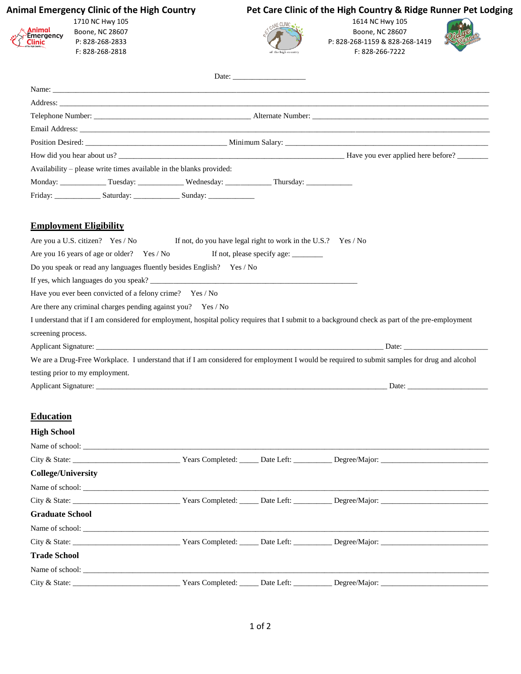### **Animal Emergency Clinic of the High Country** 1710 NC Hwy 105

Boone, NC 28607 P: 828-268-2833 F: 828-268-2818

Animal<br>Emergency<br>Clinic

## **Pet Care Clinic of the High Country & Ridge Runner Pet Lodging**



1614 NC Hwy 105 Boone, NC 28607 P: 828-268-1159 & 828-268-1419 F: 828-266-7222



|                                                                       |                                                               | Date: |                                                                                                                                                 |
|-----------------------------------------------------------------------|---------------------------------------------------------------|-------|-------------------------------------------------------------------------------------------------------------------------------------------------|
|                                                                       |                                                               |       |                                                                                                                                                 |
|                                                                       |                                                               |       |                                                                                                                                                 |
|                                                                       |                                                               |       |                                                                                                                                                 |
|                                                                       |                                                               |       |                                                                                                                                                 |
|                                                                       |                                                               |       |                                                                                                                                                 |
|                                                                       |                                                               |       | How did you hear about us?                                                                                                                      |
| Availability – please write times available in the blanks provided:   |                                                               |       |                                                                                                                                                 |
|                                                                       |                                                               |       |                                                                                                                                                 |
|                                                                       |                                                               |       |                                                                                                                                                 |
| <b>Employment Eligibility</b>                                         |                                                               |       |                                                                                                                                                 |
| Are you a U.S. citizen? Yes / No                                      | If not, do you have legal right to work in the U.S.? Yes / No |       |                                                                                                                                                 |
| Are you 16 years of age or older? Yes / No                            |                                                               |       |                                                                                                                                                 |
| Do you speak or read any languages fluently besides English? Yes / No |                                                               |       |                                                                                                                                                 |
|                                                                       |                                                               |       |                                                                                                                                                 |
| Have you ever been convicted of a felony crime? Yes / No              |                                                               |       |                                                                                                                                                 |
| Are there any criminal charges pending against you? Yes / No          |                                                               |       |                                                                                                                                                 |
|                                                                       |                                                               |       | I understand that if I am considered for employment, hospital policy requires that I submit to a background check as part of the pre-employment |
| screening process.                                                    |                                                               |       |                                                                                                                                                 |
|                                                                       |                                                               |       |                                                                                                                                                 |
|                                                                       |                                                               |       | We are a Drug-Free Workplace. I understand that if I am considered for employment I would be required to submit samples for drug and alcohol    |
| testing prior to my employment.                                       |                                                               |       |                                                                                                                                                 |
|                                                                       |                                                               |       |                                                                                                                                                 |
|                                                                       |                                                               |       |                                                                                                                                                 |
| <b>Education</b>                                                      |                                                               |       |                                                                                                                                                 |
| <b>High School</b>                                                    |                                                               |       |                                                                                                                                                 |
|                                                                       |                                                               |       |                                                                                                                                                 |
|                                                                       |                                                               |       |                                                                                                                                                 |
| <b>College/University</b>                                             |                                                               |       |                                                                                                                                                 |
|                                                                       |                                                               |       |                                                                                                                                                 |
|                                                                       |                                                               |       |                                                                                                                                                 |
| <b>Graduate School</b>                                                |                                                               |       |                                                                                                                                                 |
|                                                                       |                                                               |       |                                                                                                                                                 |
|                                                                       |                                                               |       |                                                                                                                                                 |
| <b>Trade School</b>                                                   |                                                               |       |                                                                                                                                                 |
|                                                                       |                                                               |       |                                                                                                                                                 |
|                                                                       |                                                               |       | Years Completed: _____ Date Left: __________ Degree/Major: _____________________                                                                |